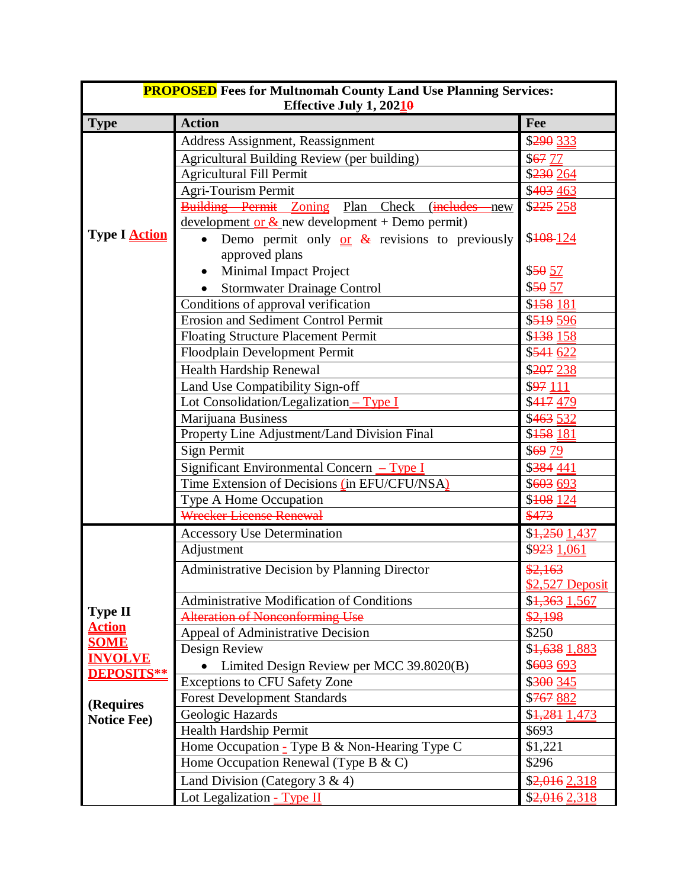| <b>PROPOSED</b> Fees for Multnomah County Land Use Planning Services:<br>Effective July 1, $20210$ |                                                             |                           |  |  |
|----------------------------------------------------------------------------------------------------|-------------------------------------------------------------|---------------------------|--|--|
| <b>Type</b>                                                                                        | <b>Action</b>                                               | Fee                       |  |  |
|                                                                                                    | Address Assignment, Reassignment                            | \$290 333                 |  |  |
|                                                                                                    | <b>Agricultural Building Review (per building)</b>          | \$67 77                   |  |  |
|                                                                                                    | <b>Agricultural Fill Permit</b>                             | \$230 264                 |  |  |
|                                                                                                    | Agri-Tourism Permit                                         | \$403 463                 |  |  |
|                                                                                                    | <b>Building Permit Zoning Plan Check</b><br>(includes - new | \$225 258                 |  |  |
|                                                                                                    | development or $&$ new development + Demo permit)           |                           |  |  |
| Type I Action                                                                                      | Demo permit only $or{or}$ & revisions to previously         | \$108 124                 |  |  |
|                                                                                                    | approved plans                                              |                           |  |  |
|                                                                                                    | Minimal Impact Project                                      | \$5057                    |  |  |
|                                                                                                    | <b>Stormwater Drainage Control</b>                          | \$50 57                   |  |  |
|                                                                                                    | Conditions of approval verification                         | \$158 181                 |  |  |
|                                                                                                    | <b>Erosion and Sediment Control Permit</b>                  | \$51950                   |  |  |
|                                                                                                    | <b>Floating Structure Placement Permit</b>                  | \$ <del>138</del> 158     |  |  |
|                                                                                                    | Floodplain Development Permit                               | \$541 622                 |  |  |
|                                                                                                    | Health Hardship Renewal                                     | \$207 238                 |  |  |
|                                                                                                    | Land Use Compatibility Sign-off                             | \$97111                   |  |  |
|                                                                                                    | Lot Consolidation/Legalization - Type I                     | \$417479                  |  |  |
|                                                                                                    | Marijuana Business                                          | \$463 532                 |  |  |
|                                                                                                    | Property Line Adjustment/Land Division Final                | $\sqrt{5158181}$          |  |  |
|                                                                                                    | Sign Permit                                                 | \$6979                    |  |  |
|                                                                                                    | Significant Environmental Concern - Type I                  | \$384 441                 |  |  |
|                                                                                                    | Time Extension of Decisions (in EFU/CFU/NSA)                | \$603 693                 |  |  |
|                                                                                                    | Type A Home Occupation                                      | \$108 124                 |  |  |
|                                                                                                    | Wrecker License Renewal                                     | \$473                     |  |  |
|                                                                                                    | <b>Accessory Use Determination</b>                          | \$4,250 1,437             |  |  |
|                                                                                                    | Adjustment                                                  | \$923 1,061               |  |  |
|                                                                                                    | Administrative Decision by Planning Director                | \$2,163                   |  |  |
| <b>Type II</b>                                                                                     |                                                             | \$2,527 Deposit           |  |  |
|                                                                                                    | <b>Administrative Modification of Conditions</b>            | \$1,363 1,567             |  |  |
|                                                                                                    | <b>Alteration of Nonconforming Use</b>                      | \$2,198                   |  |  |
| <b>Action</b><br><b>SOME</b>                                                                       | Appeal of Administrative Decision                           | \$250                     |  |  |
| <b>INVOLVE</b>                                                                                     | Design Review                                               | \$1,638 1,883             |  |  |
| <b>DEPOSITS**</b>                                                                                  | Limited Design Review per MCC 39.8020(B)                    | \$603 693                 |  |  |
|                                                                                                    | <b>Exceptions to CFU Safety Zone</b>                        | \$300 345                 |  |  |
| (Requires                                                                                          | <b>Forest Development Standards</b>                         | \$767 882                 |  |  |
| <b>Notice Fee)</b>                                                                                 | Geologic Hazards                                            | \$ <del>1,281</del> 1,473 |  |  |
|                                                                                                    | Health Hardship Permit                                      | \$693                     |  |  |
|                                                                                                    | Home Occupation $\frac{1}{2}$ Type B & Non-Hearing Type C   | \$1,221                   |  |  |
|                                                                                                    | Home Occupation Renewal (Type B $\&$ C)                     | \$296                     |  |  |
|                                                                                                    | Land Division (Category 3 & 4)                              | $$2,016$ $2,318$          |  |  |
|                                                                                                    | Lot Legalization - Type II                                  | $\overline{$}2,016$ 2,318 |  |  |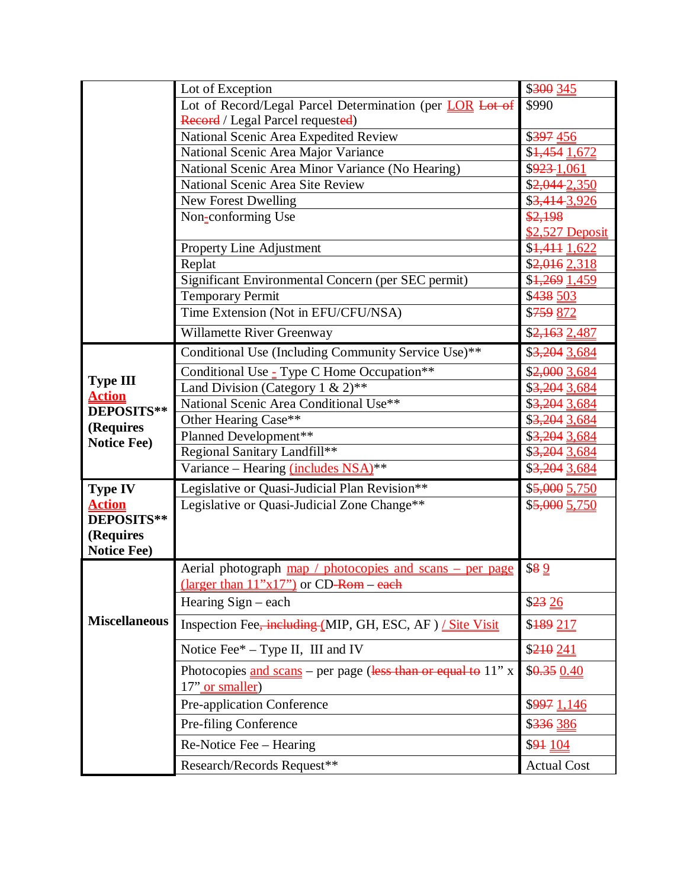|                                  | Lot of Exception                                                                                             | \$300 345          |
|----------------------------------|--------------------------------------------------------------------------------------------------------------|--------------------|
|                                  | Lot of Record/Legal Parcel Determination (per LOR Lot of                                                     | \$990              |
|                                  | Record / Legal Parcel requested)                                                                             |                    |
|                                  | National Scenic Area Expedited Review                                                                        | \$397 456          |
|                                  | National Scenic Area Major Variance                                                                          | $$4,454$ 1,672     |
|                                  | National Scenic Area Minor Variance (No Hearing)                                                             | \$923-1,061        |
|                                  | National Scenic Area Site Review                                                                             | \$2,044-2,350      |
|                                  | <b>New Forest Dwelling</b>                                                                                   | \$3,414 3,926      |
|                                  | Non-conforming Use                                                                                           | \$2,198            |
|                                  |                                                                                                              | \$2,527 Deposit    |
|                                  | Property Line Adjustment                                                                                     | \$1,411 1,622      |
|                                  | Replat                                                                                                       | \$2,016 2,318      |
|                                  | Significant Environmental Concern (per SEC permit)                                                           | \$1,269 1,459      |
|                                  | <b>Temporary Permit</b>                                                                                      | \$438 503          |
|                                  | Time Extension (Not in EFU/CFU/NSA)                                                                          | \$759 872          |
|                                  | Willamette River Greenway                                                                                    | \$2,163 2,487      |
|                                  | Conditional Use (Including Community Service Use)**                                                          | \$3,204 3,684      |
|                                  | Conditional Use $\frac{1}{2}$ Type C Home Occupation**                                                       | \$2,000 3,684      |
| <b>Type III</b><br><b>Action</b> | Land Division (Category 1 & $2^{**}$                                                                         | \$3,204 3,684      |
| DEPOSITS**                       | National Scenic Area Conditional Use**                                                                       | \$3,204 3,684      |
| (Requires                        | Other Hearing Case**                                                                                         | \$3,204 3,684      |
| <b>Notice Fee)</b>               | Planned Development**                                                                                        | \$3,204 3,684      |
|                                  | Regional Sanitary Landfill**                                                                                 | \$3,204 3,684      |
|                                  | Variance - Hearing (includes NSA)**                                                                          | \$3,204 3,684      |
| <b>Type IV</b>                   | Legislative or Quasi-Judicial Plan Revision**                                                                | $$5,000$ $5,750$   |
| <b>Action</b>                    | Legislative or Quasi-Judicial Zone Change**                                                                  | \$5,000 5,750      |
| DEPOSITS**                       |                                                                                                              |                    |
| (Requires                        |                                                                                                              |                    |
| <b>Notice Fee)</b>               |                                                                                                              |                    |
|                                  | Aerial photograph map / photocopies and scans – per page<br>$(\text{larger than } 11"x17")$ or CD-Rom – each | \$89               |
|                                  | Hearing $Sign - each$                                                                                        | \$23 26            |
| <b>Miscellaneous</b>             | Inspection Fee, including (MIP, GH, ESC, AF) / Site Visit                                                    | \$189 217          |
|                                  | Notice Fee* - Type II, III and IV                                                                            | \$210 241          |
|                                  | Photocopies $\frac{and}{s}$ scans – per page (less than or equal to 11" x<br>17" or smaller)                 | \$0.350.40         |
|                                  | Pre-application Conference                                                                                   | \$997 1,146        |
|                                  | Pre-filing Conference                                                                                        | \$336 386          |
|                                  | Re-Notice Fee – Hearing                                                                                      | \$94 104           |
|                                  | Research/Records Request**                                                                                   | <b>Actual Cost</b> |
|                                  |                                                                                                              |                    |